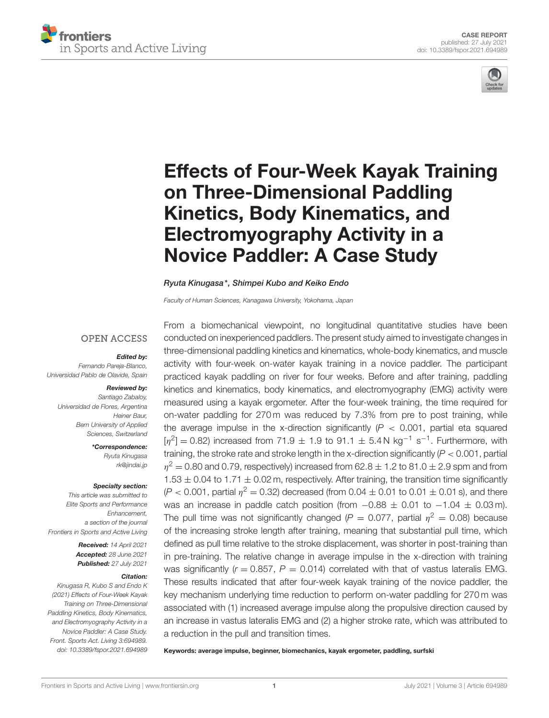



# [Effects of Four-Week Kayak Training](https://www.frontiersin.org/articles/10.3389/fspor.2021.694989/full) on Three-Dimensional Paddling Kinetics, Body Kinematics, and Electromyography Activity in a Novice Paddler: A Case Study

#### Ryuta Kinugasa\*, Shimpei Kubo and Keiko Endo

Faculty of Human Sciences, Kanagawa University, Yokohama, Japan

### **OPEN ACCESS**

#### Edited by:

Fernando Pareja-Blanco, Universidad Pablo de Olavide, Spain

#### Reviewed by:

Santiago Zabaloy, Universidad de Flores, Argentina Heiner Baur, Bern University of Applied Sciences, Switzerland

> \*Correspondence: Ryuta Kinugasa [rk@jindai.jp](mailto:rk@jindai.jp)

#### Specialty section:

This article was submitted to Elite Sports and Performance Enhancement, a section of the journal Frontiers in Sports and Active Living

> Received: 14 April 2021 Accepted: 28 June 2021 Published: 27 July 2021

#### Citation:

Kinugasa R, Kubo S and Endo K (2021) Effects of Four-Week Kayak Training on Three-Dimensional Paddling Kinetics, Body Kinematics, and Electromyography Activity in a Novice Paddler: A Case Study. Front. Sports Act. Living 3:694989. doi: [10.3389/fspor.2021.694989](https://doi.org/10.3389/fspor.2021.694989)

From a biomechanical viewpoint, no longitudinal quantitative studies have been conducted on inexperienced paddlers. The present study aimed to investigate changes in three-dimensional paddling kinetics and kinematics, whole-body kinematics, and muscle activity with four-week on-water kayak training in a novice paddler. The participant practiced kayak paddling on river for four weeks. Before and after training, paddling kinetics and kinematics, body kinematics, and electromyography (EMG) activity were measured using a kayak ergometer. After the four-week training, the time required for on-water paddling for 270 m was reduced by 7.3% from pre to post training, while the average impulse in the x-direction significantly  $(P < 0.001$ , partial eta squared  $[\eta^2] = 0.82$ ) increased from 71.9  $\pm$  1.9 to 91.1  $\pm$  5.4N kg<sup>-1</sup> s<sup>-1</sup>. Furthermore, with training, the stroke rate and stroke length in the x-direction significantly  $(P < 0.001$ , partial  $\eta^2$  = 0.80 and 0.79, respectively) increased from 62.8  $\pm$  1.2 to 81.0  $\pm$  2.9 spm and from  $1.53 \pm 0.04$  to  $1.71 \pm 0.02$  m, respectively. After training, the transition time significantly  $(P < 0.001$ , partial  $\eta^2 = 0.32$ ) decreased (from 0.04  $\pm$  0.01 to 0.01  $\pm$  0.01 s), and there was an increase in paddle catch position (from  $-0.88 \pm 0.01$  to  $-1.04 \pm 0.03$  m). The pull time was not significantly changed ( $P = 0.077$ , partial  $\eta^2 = 0.08$ ) because of the increasing stroke length after training, meaning that substantial pull time, which defined as pull time relative to the stroke displacement, was shorter in post-training than in pre-training. The relative change in average impulse in the x-direction with training was significantly ( $r = 0.857$ ,  $P = 0.014$ ) correlated with that of vastus lateralis EMG. These results indicated that after four-week kayak training of the novice paddler, the key mechanism underlying time reduction to perform on-water paddling for 270 m was associated with (1) increased average impulse along the propulsive direction caused by an increase in vastus lateralis EMG and (2) a higher stroke rate, which was attributed to a reduction in the pull and transition times.

Keywords: average impulse, beginner, biomechanics, kayak ergometer, paddling, surfski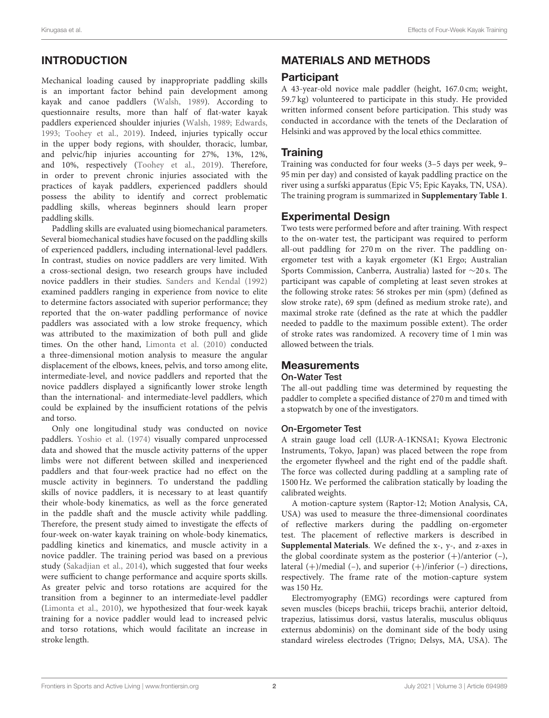# INTRODUCTION

Mechanical loading caused by inappropriate paddling skills is an important factor behind pain development among kayak and canoe paddlers [\(Walsh, 1989\)](#page-8-0). According to questionnaire results, more than half of flat-water kayak paddlers experienced shoulder injuries [\(Walsh, 1989;](#page-8-0) [Edwards,](#page-8-1) [1993;](#page-8-1) [Toohey et al., 2019\)](#page-8-2). Indeed, injuries typically occur in the upper body regions, with shoulder, thoracic, lumbar, and pelvic/hip injuries accounting for 27%, 13%, 12%, and 10%, respectively [\(Toohey et al., 2019\)](#page-8-2). Therefore, in order to prevent chronic injuries associated with the practices of kayak paddlers, experienced paddlers should possess the ability to identify and correct problematic paddling skills, whereas beginners should learn proper paddling skills.

Paddling skills are evaluated using biomechanical parameters. Several biomechanical studies have focused on the paddling skills of experienced paddlers, including international-level paddlers. In contrast, studies on novice paddlers are very limited. With a cross-sectional design, two research groups have included novice paddlers in their studies. [Sanders and Kendal \(1992\)](#page-8-3) examined paddlers ranging in experience from novice to elite to determine factors associated with superior performance; they reported that the on-water paddling performance of novice paddlers was associated with a low stroke frequency, which was attributed to the maximization of both pull and glide times. On the other hand, [Limonta et al. \(2010\)](#page-8-4) conducted a three-dimensional motion analysis to measure the angular displacement of the elbows, knees, pelvis, and torso among elite, intermediate-level, and novice paddlers and reported that the novice paddlers displayed a significantly lower stroke length than the international- and intermediate-level paddlers, which could be explained by the insufficient rotations of the pelvis and torso.

Only one longitudinal study was conducted on novice paddlers. [Yoshio et al. \(1974\)](#page-8-5) visually compared unprocessed data and showed that the muscle activity patterns of the upper limbs were not different between skilled and inexperienced paddlers and that four-week practice had no effect on the muscle activity in beginners. To understand the paddling skills of novice paddlers, it is necessary to at least quantify their whole-body kinematics, as well as the force generated in the paddle shaft and the muscle activity while paddling. Therefore, the present study aimed to investigate the effects of four-week on-water kayak training on whole-body kinematics, paddling kinetics and kinematics, and muscle activity in a novice paddler. The training period was based on a previous study [\(Sakadjian et al., 2014\)](#page-8-6), which suggested that four weeks were sufficient to change performance and acquire sports skills. As greater pelvic and torso rotations are acquired for the transition from a beginner to an intermediate-level paddler [\(Limonta et al., 2010\)](#page-8-4), we hypothesized that four-week kayak training for a novice paddler would lead to increased pelvic and torso rotations, which would facilitate an increase in stroke length.

# MATERIALS AND METHODS

# **Participant**

A 43-year-old novice male paddler (height, 167.0 cm; weight, 59.7 kg) volunteered to participate in this study. He provided written informed consent before participation. This study was conducted in accordance with the tenets of the Declaration of Helsinki and was approved by the local ethics committee.

# **Training**

Training was conducted for four weeks (3–5 days per week, 9– 95 min per day) and consisted of kayak paddling practice on the river using a surfski apparatus (Epic V5; Epic Kayaks, TN, USA). The training program is summarized in **[Supplementary Table 1](#page-7-0)**.

# Experimental Design

Two tests were performed before and after training. With respect to the on-water test, the participant was required to perform all-out paddling for 270 m on the river. The paddling onergometer test with a kayak ergometer (K1 Ergo; Australian Sports Commission, Canberra, Australia) lasted for ∼20 s. The participant was capable of completing at least seven strokes at the following stroke rates: 56 strokes per min (spm) (defined as slow stroke rate), 69 spm (defined as medium stroke rate), and maximal stroke rate (defined as the rate at which the paddler needed to paddle to the maximum possible extent). The order of stroke rates was randomized. A recovery time of 1 min was allowed between the trials.

# **Measurements**

### On-Water Test

The all-out paddling time was determined by requesting the paddler to complete a specified distance of 270 m and timed with a stopwatch by one of the investigators.

### On-Ergometer Test

A strain gauge load cell (LUR-A-1KNSA1; Kyowa Electronic Instruments, Tokyo, Japan) was placed between the rope from the ergometer flywheel and the right end of the paddle shaft. The force was collected during paddling at a sampling rate of 1500 Hz. We performed the calibration statically by loading the calibrated weights.

A motion-capture system (Raptor-12; Motion Analysis, CA, USA) was used to measure the three-dimensional coordinates of reflective markers during the paddling on-ergometer test. The placement of reflective markers is described in **[Supplemental Materials](#page-7-0)**. We defined the x-, y-, and z-axes in the global coordinate system as the posterior  $(+)$ /anterior  $(-)$ , lateral  $(+)$ /medial  $(-)$ , and superior  $(+)$ /inferior  $(-)$  directions, respectively. The frame rate of the motion-capture system was 150 Hz.

Electromyography (EMG) recordings were captured from seven muscles (biceps brachii, triceps brachii, anterior deltoid, trapezius, latissimus dorsi, vastus lateralis, musculus obliquus externus abdominis) on the dominant side of the body using standard wireless electrodes (Trigno; Delsys, MA, USA). The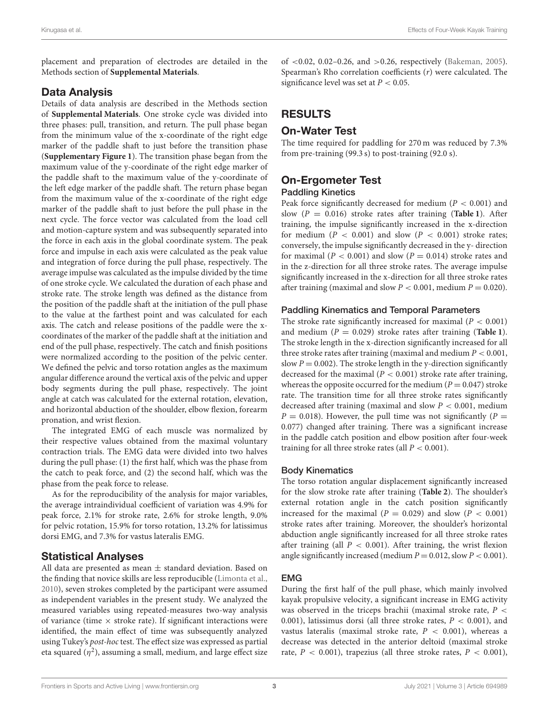placement and preparation of electrodes are detailed in the Methods section of **[Supplemental Materials](#page-7-0)**.

# Data Analysis

Details of data analysis are described in the Methods section of **[Supplemental Materials](#page-7-0)**. One stroke cycle was divided into three phases: pull, transition, and return. The pull phase began from the minimum value of the x-coordinate of the right edge marker of the paddle shaft to just before the transition phase (**[Supplementary Figure 1](#page-7-0)**). The transition phase began from the maximum value of the y-coordinate of the right edge marker of the paddle shaft to the maximum value of the y-coordinate of the left edge marker of the paddle shaft. The return phase began from the maximum value of the x-coordinate of the right edge marker of the paddle shaft to just before the pull phase in the next cycle. The force vector was calculated from the load cell and motion-capture system and was subsequently separated into the force in each axis in the global coordinate system. The peak force and impulse in each axis were calculated as the peak value and integration of force during the pull phase, respectively. The average impulse was calculated as the impulse divided by the time of one stroke cycle. We calculated the duration of each phase and stroke rate. The stroke length was defined as the distance from the position of the paddle shaft at the initiation of the pull phase to the value at the farthest point and was calculated for each axis. The catch and release positions of the paddle were the xcoordinates of the marker of the paddle shaft at the initiation and end of the pull phase, respectively. The catch and finish positions were normalized according to the position of the pelvic center. We defined the pelvic and torso rotation angles as the maximum angular difference around the vertical axis of the pelvic and upper body segments during the pull phase, respectively. The joint angle at catch was calculated for the external rotation, elevation, and horizontal abduction of the shoulder, elbow flexion, forearm pronation, and wrist flexion.

The integrated EMG of each muscle was normalized by their respective values obtained from the maximal voluntary contraction trials. The EMG data were divided into two halves during the pull phase: (1) the first half, which was the phase from the catch to peak force, and (2) the second half, which was the phase from the peak force to release.

As for the reproducibility of the analysis for major variables, the average intraindividual coefficient of variation was 4.9% for peak force, 2.1% for stroke rate, 2.6% for stroke length, 9.0% for pelvic rotation, 15.9% for torso rotation, 13.2% for latissimus dorsi EMG, and 7.3% for vastus lateralis EMG.

# Statistical Analyses

All data are presented as mean ± standard deviation. Based on the finding that novice skills are less reproducible [\(Limonta et al.,](#page-8-4) [2010\)](#page-8-4), seven strokes completed by the participant were assumed as independent variables in the present study. We analyzed the measured variables using repeated-measures two-way analysis of variance (time  $\times$  stroke rate). If significant interactions were identified, the main effect of time was subsequently analyzed using Tukey's post-hoc test. The effect size was expressed as partial eta squared  $(\eta^2)$ , assuming a small, medium, and large effect size

of <0.02, 0.02–0.26, and >0.26, respectively [\(Bakeman, 2005\)](#page-8-7). Spearman's Rho correlation coefficients (r) were calculated. The significance level was set at  $P < 0.05.$ 

# RESULTS

# On-Water Test

The time required for paddling for 270 m was reduced by 7.3% from pre-training (99.3 s) to post-training (92.0 s).

# On-Ergometer Test

#### Paddling Kinetics

Peak force significantly decreased for medium  $(P < 0.001)$  and slow (P = 0.016) stroke rates after training (**[Table 1](#page-3-0)**). After training, the impulse significantly increased in the x-direction for medium ( $P < 0.001$ ) and slow ( $P < 0.001$ ) stroke rates; conversely, the impulse significantly decreased in the y- direction for maximal ( $P < 0.001$ ) and slow ( $P = 0.014$ ) stroke rates and in the z-direction for all three stroke rates. The average impulse significantly increased in the x-direction for all three stroke rates after training (maximal and slow  $P < 0.001$ , medium  $P = 0.020$ ).

#### Paddling Kinematics and Temporal Parameters

The stroke rate significantly increased for maximal  $(P < 0.001)$ and medium  $(P = 0.029)$  stroke rates after training (**[Table 1](#page-3-0)**). The stroke length in the x-direction significantly increased for all three stroke rates after training (maximal and medium  $P < 0.001$ , slow  $P = 0.002$ ). The stroke length in the y-direction significantly decreased for the maximal ( $P < 0.001$ ) stroke rate after training, whereas the opposite occurred for the medium ( $P = 0.047$ ) stroke rate. The transition time for all three stroke rates significantly decreased after training (maximal and slow  $P < 0.001$ , medium  $P = 0.018$ ). However, the pull time was not significantly ( $P =$ 0.077) changed after training. There was a significant increase in the paddle catch position and elbow position after four-week training for all three stroke rates (all  $P < 0.001$ ).

### Body Kinematics

The torso rotation angular displacement significantly increased for the slow stroke rate after training (**[Table 2](#page-4-0)**). The shoulder's external rotation angle in the catch position significantly increased for the maximal  $(P = 0.029)$  and slow  $(P < 0.001)$ stroke rates after training. Moreover, the shoulder's horizontal abduction angle significantly increased for all three stroke rates after training (all  $P < 0.001$ ). After training, the wrist flexion angle significantly increased (medium  $P = 0.012$ , slow  $P < 0.001$ ).

### EMG

During the first half of the pull phase, which mainly involved kayak propulsive velocity, a significant increase in EMG activity was observed in the triceps brachii (maximal stroke rate,  $P <$ 0.001), latissimus dorsi (all three stroke rates,  $P < 0.001$ ), and vastus lateralis (maximal stroke rate,  $P < 0.001$ ), whereas a decrease was detected in the anterior deltoid (maximal stroke rate,  $P < 0.001$ ), trapezius (all three stroke rates,  $P < 0.001$ ),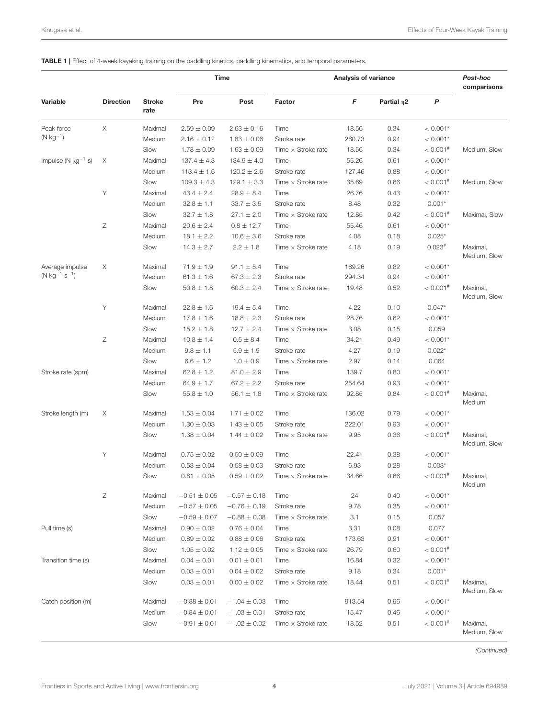#### <span id="page-3-0"></span>TABLE 1 | Effect of 4-week kayaking training on the paddling kinetics, paddling kinematics, and temporal parameters.

|                                      |                  |                       |                  | <b>Time</b>      | Analysis of variance      |        |                  | Post-hoc<br>comparisons |                          |
|--------------------------------------|------------------|-----------------------|------------------|------------------|---------------------------|--------|------------------|-------------------------|--------------------------|
| Variable                             | <b>Direction</b> | <b>Stroke</b><br>rate | Pre              | Post             | Factor                    | F      | Partial $\eta$ 2 | P                       |                          |
| Peak force                           | X                | Maximal               | $2.59 \pm 0.09$  | $2.63 \pm 0.16$  | Time                      | 18.56  | 0.34             | $< 0.001*$              |                          |
| $(N kg^{-1})$                        |                  | Medium                | $2.16 \pm 0.12$  | $1.83 \pm 0.06$  | Stroke rate               | 260.73 | 0.94             | $< 0.001*$              |                          |
|                                      |                  | Slow                  | $1.78 \pm 0.09$  | $1.63 \pm 0.09$  | Time $\times$ Stroke rate | 18.56  | 0.34             | $< 0.001$ <sup>#</sup>  | Medium, Slow             |
| Impulse ( $N$ kg <sup>-1</sup> s)    | Χ                | Maximal               | $137.4 \pm 4.3$  | $134.9 \pm 4.0$  | Time                      | 55.26  | 0.61             | $< 0.001*$              |                          |
|                                      |                  | Medium                | $113.4 \pm 1.6$  | $120.2 \pm 2.6$  | Stroke rate               | 127.46 | 0.88             | $< 0.001*$              |                          |
|                                      |                  | Slow                  | $109.3 \pm 4.3$  | $129.1 \pm 3.3$  | Time $\times$ Stroke rate | 35.69  | 0.66             | $< 0.001$ <sup>#</sup>  | Medium, Slow             |
|                                      | Υ                | Maximal               | $43.4 \pm 2.4$   | $28.9 \pm 8.4$   | Time                      | 26.76  | 0.43             | $< 0.001*$              |                          |
|                                      |                  | Medium                | $32.8 \pm 1.1$   | $33.7 \pm 3.5$   | Stroke rate               | 8.48   | 0.32             | $0.001*$                |                          |
|                                      |                  | Slow                  | $32.7 \pm 1.8$   | $27.1 \pm 2.0$   | Time $\times$ Stroke rate | 12.85  | 0.42             | $< 0.001$ <sup>#</sup>  | Maximal, Slow            |
|                                      | Ζ                | Maximal               | $20.6 \pm 2.4$   | $0.8 \pm 12.7$   | Time                      | 55.46  | 0.61             | $< 0.001*$              |                          |
|                                      |                  | Medium                | $18.1 \pm 2.2$   | $10.6 \pm 3.6$   | Stroke rate               | 4.08   | 0.18             | $0.025*$                |                          |
|                                      |                  | Slow                  | $14.3 \pm 2.7$   | $2.2 \pm 1.8$    | Time $\times$ Stroke rate | 4.18   | 0.19             | $0.023*$                | Maximal,<br>Medium, Slow |
| Average impulse                      | Χ                | Maximal               | $71.9 \pm 1.9$   | $91.1 \pm 5.4$   | Time                      | 169.26 | 0.82             | $< 0.001*$              |                          |
| $(N \text{ kg}^{-1} \text{ s}^{-1})$ |                  | Medium                | $61.3 \pm 1.6$   | $67.3 \pm 2.3$   | Stroke rate               | 294.34 | 0.94             | $< 0.001*$              |                          |
|                                      |                  | Slow                  | $50.8 \pm 1.8$   | $60.3 \pm 2.4$   | Time $\times$ Stroke rate | 19.48  | 0.52             | $< 0.001$ <sup>#</sup>  | Maximal,<br>Medium, Slow |
|                                      | Υ                | Maximal               | $22.8 \pm 1.6$   | $19.4 \pm 5.4$   | Time                      | 4.22   | 0.10             | $0.047*$                |                          |
|                                      |                  | Medium                | $17.8 \pm 1.6$   | $18.8 \pm 2.3$   | Stroke rate               | 28.76  | 0.62             | $< 0.001*$              |                          |
|                                      |                  | Slow                  | $15.2 \pm 1.8$   | $12.7 \pm 2.4$   | Time $\times$ Stroke rate | 3.08   | 0.15             | 0.059                   |                          |
|                                      | Ζ                | Maximal               | $10.8 \pm 1.4$   | $0.5 \pm 8.4$    | Time                      | 34.21  | 0.49             | $< 0.001*$              |                          |
|                                      |                  | Medium                | $9.8 \pm 1.1$    | $5.9\pm1.9$      | Stroke rate               | 4.27   | 0.19             | $0.022*$                |                          |
|                                      |                  | Slow                  | $6.6 \pm 1.2$    | $1.0 \pm 0.9$    | Time $\times$ Stroke rate | 2.97   | 0.14             | 0.064                   |                          |
| Stroke rate (spm)                    |                  | Maximal               | $62.8 \pm 1.2$   | $81.0 \pm 2.9$   | Time                      | 139.7  | 0.80             | $< 0.001*$              |                          |
|                                      |                  | Medium                | $64.9 \pm 1.7$   | $67.2 \pm 2.2$   | Stroke rate               | 254.64 | 0.93             | $< 0.001*$              |                          |
|                                      |                  | Slow                  | $55.8 \pm 1.0$   | $56.1 \pm 1.8$   | Time $\times$ Stroke rate | 92.85  | 0.84             | $< 0.001$ <sup>#</sup>  | Maximal,<br>Medium       |
| Stroke length (m)                    | Χ                | Maximal               | $1.53 \pm 0.04$  | $1.71 \pm 0.02$  | Time                      | 136.02 | 0.79             | $< 0.001*$              |                          |
|                                      |                  | Medium                | $1.30 \pm 0.03$  | $1.43 \pm 0.05$  | Stroke rate               | 222.01 | 0.93             | $< 0.001*$              |                          |
|                                      |                  | Slow                  | $1.38 \pm 0.04$  | $1.44 \pm 0.02$  | Time $\times$ Stroke rate | 9.95   | 0.36             | $< 0.001$ <sup>#</sup>  | Maximal,<br>Medium, Slow |
|                                      | Υ                | Maximal               | $0.75 \pm 0.02$  | $0.50 \pm 0.09$  | Time                      | 22.41  | 0.38             | $< 0.001*$              |                          |
|                                      |                  | Medium                | $0.53 \pm 0.04$  | $0.58 \pm 0.03$  | Stroke rate               | 6.93   | 0.28             | $0.003*$                |                          |
|                                      |                  | Slow                  | $0.61 \pm 0.05$  | $0.59 \pm 0.02$  | Time $\times$ Stroke rate | 34.66  | 0.66             | $< 0.001$ <sup>#</sup>  | Maximal,<br>Medium       |
|                                      | Ζ                | Maximal               | $-0.51 \pm 0.05$ | $-0.57 \pm 0.18$ | Time                      | 24     | 0.40             | $< 0.001*$              |                          |
|                                      |                  | Medium                | $-0.57 \pm 0.05$ | $-0.76 \pm 0.19$ | Stroke rate               | 9.78   | 0.35             | $< 0.001*$              |                          |
|                                      |                  | Slow                  | $-0.59 \pm 0.07$ | $-0.88 \pm 0.08$ | Time $\times$ Stroke rate | 3.1    | 0.15             | 0.057                   |                          |
| Pull time (s)                        |                  | Maximal               | $0.90 \pm 0.02$  | $0.76 \pm 0.04$  | Time                      | 3.31   | 0.08             | 0.077                   |                          |
|                                      |                  | Medium                | $0.89 \pm 0.02$  | $0.88 \pm 0.06$  | Stroke rate               | 173.63 | 0.91             | $< 0.001*$              |                          |
|                                      |                  | Slow                  | $1.05 \pm 0.02$  | $1.12 \pm 0.05$  | Time $\times$ Stroke rate | 26.79  | 0.60             | $< 0.001$ <sup>#</sup>  |                          |
| Transition time (s)                  |                  | Maximal               | $0.04 \pm 0.01$  | $0.01 \pm 0.01$  | Time                      | 16.84  | 0.32             | $< 0.001*$              |                          |
|                                      |                  | Medium                | $0.03 \pm 0.01$  | $0.04 \pm 0.02$  | Stroke rate               | 9.18   | 0.34             | $0.001*$                |                          |
|                                      |                  | Slow                  | $0.03 \pm 0.01$  | $0.00 \pm 0.02$  | Time $\times$ Stroke rate | 18.44  | 0.51             | $< 0.001$ <sup>#</sup>  | Maximal,<br>Medium, Slow |
| Catch position (m)                   |                  | Maximal               | $-0.88 \pm 0.01$ | $-1.04 \pm 0.03$ | Time                      | 913.54 | 0.96             | $< 0.001*$              |                          |
|                                      |                  | Medium                | $-0.84 \pm 0.01$ | $-1.03 \pm 0.01$ | Stroke rate               | 15.47  | 0.46             | $< 0.001*$              |                          |
|                                      |                  | Slow                  | $-0.91 \pm 0.01$ | $-1.02 \pm 0.02$ | Time $\times$ Stroke rate | 18.52  | 0.51             | $< 0.001$ <sup>#</sup>  | Maximal,<br>Medium, Slow |

(Continued)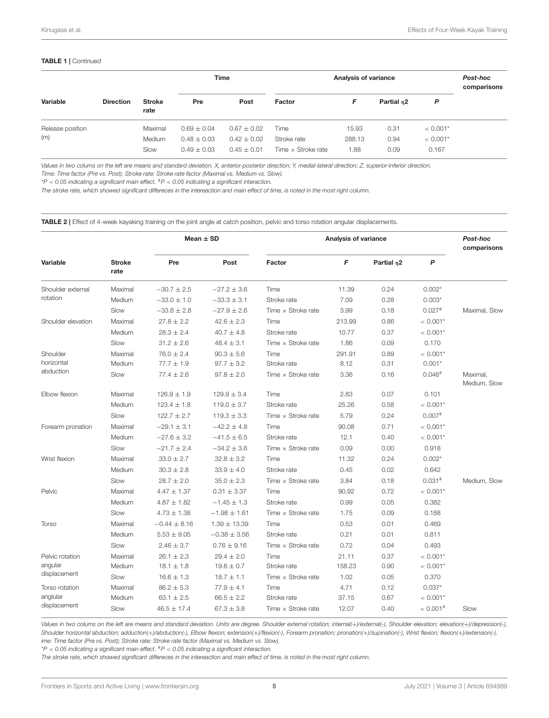#### TABLE 1 | Continued

| Variable         | <b>Direction</b> | <b>Stroke</b><br>rate | <b>Time</b>     |                 | Analysis of variance      |        |                        |            | Post-hoc<br>comparisons |
|------------------|------------------|-----------------------|-----------------|-----------------|---------------------------|--------|------------------------|------------|-------------------------|
|                  |                  |                       | Pre             | Post            | Factor                    | F      | Partial n <sub>2</sub> | P          |                         |
| Release position |                  | Maximal               | $0.69 \pm 0.04$ | $0.67 \pm 0.02$ | Time                      | 15.93  | 0.31                   | $< 0.001*$ |                         |
| (m)              |                  | <b>Medium</b>         | $0.48 \pm 0.03$ | $0.42 \pm 0.02$ | Stroke rate               | 288.13 | 0.94                   | $< 0.001*$ |                         |
|                  |                  | Slow                  | $0.49 \pm 0.03$ | $0.45 \pm 0.01$ | Time $\times$ Stroke rate | 1.88   | 0.09                   | 0.167      |                         |

Values in two colums on the left are means and standard deviation. X, anterior-posterior direction; Y, medial-lateral direction; Z, superior-inferior direction. Time: Time factor (Pre vs. Post); Stroke rate: Stroke rate factor (Maximal vs. Medium vs. Slow).

 $*P < 0.05$  indicating a significant main effect.  $*P < 0.05$  indicating a significant interaction.

The stroke rate, which showed significant differeces in the intereaction and main effect of time, is noted in the most right column.

<span id="page-4-0"></span>TABLE 2 | Effect of 4-week kayaking training on the joint angle at catch position, pelvic and torso rotation angular displacements.

|                      |                       | Mean $\pm$ SD    |                  | Analysis of variance      | Post-hoc<br>comparisons |                        |                        |                          |
|----------------------|-----------------------|------------------|------------------|---------------------------|-------------------------|------------------------|------------------------|--------------------------|
| Variable             | <b>Stroke</b><br>rate | Pre              | Post             | Factor                    | F                       | Partial n <sub>2</sub> | P                      |                          |
| Shoulder external    | Maximal               | $-30.7 \pm 2.5$  | $-27.2 \pm 3.6$  | Time                      | 11.39                   | 0.24                   | $0.002*$               |                          |
| rotation             | Medium                | $-33.0 \pm 1.0$  | $-33.3 \pm 3.1$  | Stroke rate               | 7.09                    | 0.28                   | $0.003*$               |                          |
|                      | Slow                  | $-33.8 \pm 2.8$  | $-27.9 \pm 2.6$  | Time $\times$ Stroke rate | 3.99                    | 0.18                   | $0.027$ <sup>#</sup>   | Maximal, Slow            |
| Shoulder elevation   | Maximal               | $27.8 \pm 2.2$   | $42.6 \pm 2.3$   | Time                      | 213.99                  | 0.86                   | $< 0.001*$             |                          |
|                      | Medium                | $28.3 \pm 2.4$   | $40.7 \pm 4.8$   | Stroke rate               | 10.77                   | 0.37                   | $< 0.001*$             |                          |
|                      | Slow                  | $31.2 \pm 2.6$   | $48.4 \pm 3.1$   | Time $\times$ Stroke rate | 1.86                    | 0.09                   | 0.170                  |                          |
| Shoulder             | Maximal               | $76.0 \pm 2.4$   | $90.3 \pm 5.6$   | Time                      | 291.91                  | 0.89                   | $< 0.001*$             |                          |
| horizontal           | Medium                | $77.7 \pm 1.9$   | $97.7 \pm 3.2$   | Stroke rate               | 8.12                    | 0.31                   | $0.001*$               |                          |
| abduction            | Slow                  | $77.4 \pm 2.6$   | $97.8 \pm 2.0$   | Time $\times$ Stroke rate | 3.36                    | 0.16                   | $0.046*$               | Maximal,<br>Medium, Slow |
| <b>Elbow flexion</b> | Maximal               | $126.9 \pm 1.9$  | $129.9 \pm 3.4$  | Time                      | 2.83                    | 0.07                   | 0.101                  |                          |
|                      | Medium                | $123.4 \pm 1.8$  | $119.0 \pm 3.7$  | Stroke rate               | 25.26                   | 0.58                   | $< 0.001*$             |                          |
|                      | Slow                  | $122.7 \pm 2.7$  | $119.3 \pm 3.3$  | Time $\times$ Stroke rate | 5.79                    | 0.24                   | $0.007$ <sup>#</sup>   |                          |
| Forearm pronation    | Maximal               | $-29.1 \pm 3.1$  | $-42.2 \pm 4.8$  | Time                      | 90.08                   | 0.71                   | $< 0.001*$             |                          |
|                      | Medium                | $-27.6 \pm 3.2$  | $-41.5 \pm 6.5$  | Stroke rate               | 12.1                    | 0.40                   | $< 0.001*$             |                          |
|                      | Slow                  | $-21.7 \pm 2.4$  | $-34.2 \pm 3.6$  | Time $\times$ Stroke rate | 0.09                    | 0.00                   | 0.918                  |                          |
| Wrist flexion        | Maximal               | $33.0 \pm 2.7$   | $32.8 \pm 3.2$   | Time                      | 11.32                   | 0.24                   | $0.002*$               |                          |
|                      | Medium                | $30.3 \pm 2.8$   | $33.9 \pm 4.0$   | Stroke rate               | 0.45                    | 0.02                   | 0.642                  |                          |
|                      | Slow                  | $28.7 \pm 2.0$   | $35.0 \pm 2.3$   | Time $\times$ Stroke rate | 3.84                    | 0.18                   | $0.031*$               | Medium, Slow             |
| Pelvic               | Maximal               | $4.47 \pm 1.37$  | $0.31 \pm 3.37$  | Time                      | 90.92                   | 0.72                   | $< 0.001*$             |                          |
|                      | Medium                | $4.87 \pm 1.82$  | $-1.45 \pm 1.3$  | Stroke rate               | 0.99                    | 0.05                   | 0.382                  |                          |
|                      | Slow                  | $4.73 \pm 1.38$  | $-1.98 \pm 1.61$ | Time $\times$ Stroke rate | 1.75                    | 0.09                   | 0.188                  |                          |
| Torso                | Maximal               | $-0.44 \pm 8.16$ | $1.39 \pm 13.39$ | Time                      | 0.53                    | 0.01                   | 0.469                  |                          |
|                      | Medium                | $5.53 \pm 9.05$  | $-0.38 \pm 3.56$ | Stroke rate               | 0.21                    | 0.01                   | 0.811                  |                          |
|                      | Slow                  | $2.46 \pm 3.7$   | $0.76 \pm 9.16$  | Time $\times$ Stroke rate | 0.72                    | 0.04                   | 0.493                  |                          |
| Pelvic rotation      | Maximal               | $26.1 \pm 2.3$   | $29.4 \pm 2.0$   | Time                      | 21.11                   | 0.37                   | $< 0.001*$             |                          |
| angular              | Medium                | $18.1 \pm 1.8$   | $19.6 \pm 0.7$   | Stroke rate               | 158.23                  | 0.90                   | $< 0.001*$             |                          |
| displacement         | Slow                  | $16.6 \pm 1.3$   | $18.7 \pm 1.1$   | Time $\times$ Stroke rate | 1.02                    | 0.05                   | 0.370                  |                          |
| Torso rotation       | Maximal               | $86.2 \pm 5.3$   | $77.9 \pm 4.1$   | Time                      | 4.71                    | 0.12                   | $0.037*$               |                          |
| anglular             | Medium                | $63.1 \pm 2.5$   | $66.5 \pm 2.2$   | Stroke rate               | 37.15                   | 0.67                   | $< 0.001*$             |                          |
| displacement         | Slow                  | $46.5 \pm 17.4$  | $67.3 \pm 3.8$   | Time $\times$ Stroke rate | 12.07                   | 0.40                   | $< 0.001$ <sup>#</sup> | Slow                     |

Values in two colums on the left are means and standard deviation. Units are degree. Shoulder external rotation; internal(+)/external(-), Shoulder elevation; elevation(+)/depression(-), Shoulder horizontal abduction; adduction(+)/abduction(-), Elbow flexion; extension(+)/flexion(-), Forearm pronation; pronation(+)/supination(-), Wrist flexion; flexion(+)/extension(-). ime: Time factor (Pre vs. Post); Stroke rate: Stroke rate factor (Maximal vs. Medium vs. Slow).

 $*P < 0.05$  indicating a significant main effect.  $*P < 0.05$  indicating a significant interaction.

The stroke rate, which showed significant differeces in the intereaction and main effect of time, is noted in the most right column.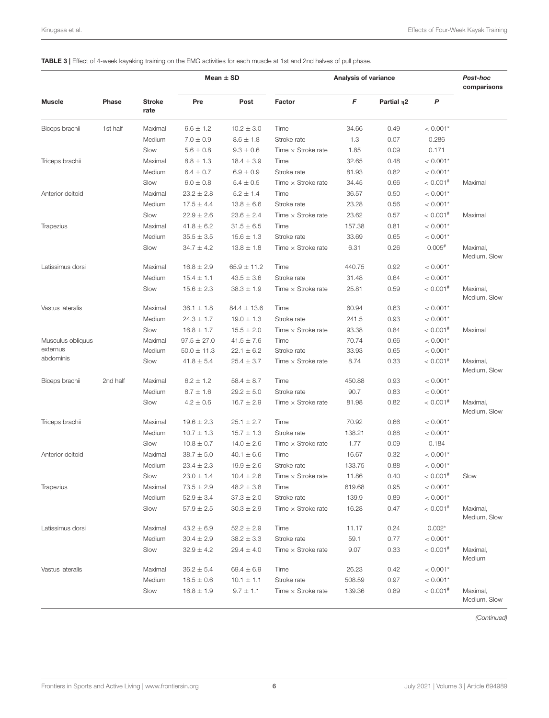#### <span id="page-5-0"></span>TABLE 3 | Effect of 4-week kayaking training on the EMG activities for each muscle at 1st and 2nd halves of pull phase.

|                   |          |                       | Mean $\pm$ SD   |                 | Analysis of variance      | Post-hoc<br>comparisons |                  |                        |                          |
|-------------------|----------|-----------------------|-----------------|-----------------|---------------------------|-------------------------|------------------|------------------------|--------------------------|
| <b>Muscle</b>     | Phase    | <b>Stroke</b><br>rate | Pre             | Post            | Factor                    | F                       | Partial $\eta$ 2 | P                      |                          |
| Biceps brachii    | 1st half | Maximal               | $6.6 \pm 1.2$   | $10.2 \pm 3.0$  | Time                      | 34.66                   | 0.49             | $< 0.001*$             |                          |
|                   |          | Medium                | $7.0 \pm 0.9$   | $8.6 \pm 1.8$   | Stroke rate               | 1.3                     | 0.07             | 0.286                  |                          |
|                   |          | Slow                  | $5.6 \pm 0.8$   | $9.3 \pm 0.6$   | Time $\times$ Stroke rate | 1.85                    | 0.09             | 0.171                  |                          |
| Triceps brachii   |          | Maximal               | $8.8 \pm 1.3$   | $18.4 \pm 3.9$  | Time                      | 32.65                   | 0.48             | $< 0.001*$             |                          |
|                   |          | Medium                | $6.4 \pm 0.7$   | $6.9 \pm 0.9$   | Stroke rate               | 81.93                   | 0.82             | $< 0.001*$             |                          |
|                   |          | Slow                  | $6.0 \pm 0.8$   | $5.4 \pm 0.5$   | Time $\times$ Stroke rate | 34.45                   | 0.66             | $< 0.001$ <sup>#</sup> | Maximal                  |
| Anterior deltoid  |          | Maximal               | $23.2 \pm 2.8$  | $5.2 \pm 1.4$   | Time                      | 36.57                   | 0.50             | $< 0.001*$             |                          |
|                   |          | Medium                | $17.5 \pm 4.4$  | $13.8 \pm 6.6$  | Stroke rate               | 23.28                   | 0.56             | $< 0.001*$             |                          |
|                   |          | Slow                  | $22.9 \pm 2.6$  | $23.6 \pm 2.4$  | Time $\times$ Stroke rate | 23.62                   | 0.57             | $< 0.001$ <sup>#</sup> | Maximal                  |
| Trapezius         |          | Maximal               | $41.8 \pm 6.2$  | $31.5 \pm 6.5$  | Time                      | 157.38                  | 0.81             | $< 0.001*$             |                          |
|                   |          | Medium                | $35.5 \pm 3.5$  | $15.6 \pm 1.3$  | Stroke rate               | 33.69                   | 0.65             | $< 0.001*$             |                          |
|                   |          | Slow                  | $34.7 \pm 4.2$  | $13.8 \pm 1.8$  | Time $\times$ Stroke rate | 6.31                    | 0.26             | $0.005$ <sup>#</sup>   | Maximal,<br>Medium, Slow |
| Latissimus dorsi  |          | Maximal               | $16.8 \pm 2.9$  | $65.9 \pm 11.2$ | Time                      | 440.75                  | 0.92             | $< 0.001*$             |                          |
|                   |          | Medium                | $15.4 \pm 1.1$  | $43.5 \pm 3.6$  | Stroke rate               | 31.48                   | 0.64             | $< 0.001*$             |                          |
|                   |          | Slow                  | $15.6 \pm 2.3$  | $38.3 \pm 1.9$  | Time $\times$ Stroke rate | 25.81                   | 0.59             | $< 0.001$ <sup>#</sup> | Maximal,<br>Medium, Slow |
| Vastus lateralis  |          | Maximal               | $36.1 \pm 1.8$  | $84.4 \pm 13.6$ | Time                      | 60.94                   | 0.63             | $< 0.001*$             |                          |
|                   |          | Medium                | $24.3 \pm 1.7$  | $19.0 \pm 1.3$  | Stroke rate               | 241.5                   | 0.93             | $< 0.001*$             |                          |
|                   |          | Slow                  | $16.8 \pm 1.7$  | $15.5 \pm 2.0$  | Time $\times$ Stroke rate | 93.38                   | 0.84             | $< 0.001$ <sup>#</sup> | Maximal                  |
| Musculus obliquus |          | Maximal               | $97.5 \pm 27.0$ | $41.5 \pm 7.6$  | Time                      | 70.74                   | 0.66             | $< 0.001*$             |                          |
| externus          |          | Medium                | $50.0 \pm 11.3$ | $22.1 \pm 6.2$  | Stroke rate               | 33.93                   | 0.65             | $< 0.001*$             |                          |
| abdominis         |          | Slow                  | $41.8 \pm 5.4$  | $25.4 \pm 3.7$  | Time $\times$ Stroke rate | 8.74                    | 0.33             | $< 0.001$ <sup>#</sup> | Maximal,<br>Medium, Slow |
| Biceps brachii    | 2nd half | Maximal               | $6.2 \pm 1.2$   | $58.4 \pm 8.7$  | Time                      | 450.88                  | 0.93             | $< 0.001*$             |                          |
|                   |          | Medium                | $8.7 \pm 1.6$   | $29.2 \pm 5.0$  | Stroke rate               | 90.7                    | 0.83             | $< 0.001*$             |                          |
|                   |          | Slow                  | $4.2 \pm 0.6$   | $16.7 \pm 2.9$  | Time $\times$ Stroke rate | 81.98                   | 0.82             | $< 0.001$ <sup>#</sup> | Maximal,<br>Medium, Slow |
| Triceps brachii   |          | Maximal               | $19.6 \pm 2.3$  | $25.1 \pm 2.7$  | Time                      | 70.92                   | 0.66             | $< 0.001*$             |                          |
|                   |          | Medium                | $10.7 \pm 1.3$  | $15.7 \pm 1.3$  | Stroke rate               | 138.21                  | 0.88             | $< 0.001*$             |                          |
|                   |          | Slow                  | $10.8 \pm 0.7$  | $14.0 \pm 2.6$  | Time $\times$ Stroke rate | 1.77                    | 0.09             | 0.184                  |                          |
| Anterior deltoid  |          | Maximal               | $38.7 \pm 5.0$  | $40.1 \pm 6.6$  | Time                      | 16.67                   | 0.32             | $< 0.001*$             |                          |
|                   |          | Medium                | $23.4 \pm 2.3$  | $19.9 \pm 2.6$  | Stroke rate               | 133.75                  | 0.88             | $< 0.001*$             |                          |
|                   |          | Slow                  | $23.0 \pm 1.4$  | $10.4 \pm 2.6$  | Time $\times$ Stroke rate | 11.86                   | 0.40             | $< 0.001$ <sup>#</sup> | Slow                     |
| Trapezius         |          | Maximal               | $73.5 \pm 2.9$  | $48.2 \pm 3.8$  | Time                      | 619.68                  | 0.95             | $< 0.001*$             |                          |
|                   |          | Medium                | $52.9 \pm 3.4$  | $37.3 \pm 2.0$  | Stroke rate               | 139.9                   | 0.89             | $< 0.001*$             |                          |
|                   |          | Slow                  | $57.9 \pm 2.5$  | $30.3 \pm 2.9$  | Time $\times$ Stroke rate | 16.28                   | 0.47             | $< 0.001$ <sup>#</sup> | Maximal,<br>Medium, Slow |
| Latissimus dorsi  |          | Maximal               | $43.2 \pm 6.9$  | $52.2 \pm 2.9$  | Time                      | 11.17                   | 0.24             | $0.002*$               |                          |
|                   |          | Medium                | $30.4 \pm 2.9$  | $38.2 \pm 3.3$  | Stroke rate               | 59.1                    | 0.77             | $< 0.001*$             |                          |
|                   |          | Slow                  | $32.9 \pm 4.2$  | $29.4 \pm 4.0$  | Time $\times$ Stroke rate | 9.07                    | 0.33             | $< 0.001$ <sup>#</sup> | Maximal,<br>Medium       |
| Vastus lateralis  |          | Maximal               | $36.2 \pm 5.4$  | $69.4 \pm 6.9$  | Time                      | 26.23                   | 0.42             | $< 0.001*$             |                          |
|                   |          | Medium                | $18.5 \pm 0.6$  | $10.1 \pm 1.1$  | Stroke rate               | 508.59                  | 0.97             | $< 0.001*$             |                          |
|                   |          | Slow                  | $16.8 \pm 1.9$  | $9.7 \pm 1.1$   | Time $\times$ Stroke rate | 139.36                  | 0.89             | $< 0.001$ <sup>#</sup> | Maximal,<br>Medium, Slow |

(Continued)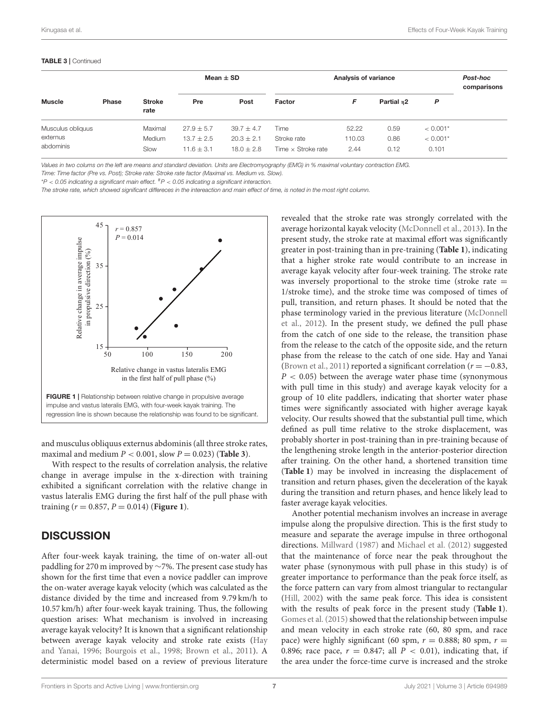#### TABLE 3 | Continued

| <b>Muscle</b>         | Phase | <b>Stroke</b><br>rate | Mean $\pm$ SD  |                | Analysis of variance      |        |            |            | Post-hoc<br>comparisons |
|-----------------------|-------|-----------------------|----------------|----------------|---------------------------|--------|------------|------------|-------------------------|
|                       |       |                       | Pre            | Post           | Factor                    | F      | Partial n2 | P          |                         |
| Musculus obliquus     |       | Maximal               | $27.9 \pm 5.7$ | $39.7 \pm 4.7$ | Time                      | 52.22  | 0.59       | $< 0.001*$ |                         |
| externus<br>abdominis |       | Medium                | $13.7 \pm 2.5$ | $20.3 \pm 2.1$ | Stroke rate               | 110.03 | 0.86       | $< 0.001*$ |                         |
|                       |       | Slow                  | $11.6 \pm 3.1$ | $18.0 \pm 2.8$ | Time $\times$ Stroke rate | 2.44   | 0.12       | 0.101      |                         |

Values in two colums on the left are means and standard deviation. Units are Electromyography (EMG) in % maximal voluntary contraction EMG. Time: Time factor (Pre vs. Post); Stroke rate: Stroke rate factor (Maximal vs. Medium vs. Slow).

 $*P < 0.05$  indicating a significant main effect.  $*P < 0.05$  indicating a significant interaction.

The stroke rate, which showed significant differeces in the intereaction and main effect of time, is noted in the most right column.



<span id="page-6-0"></span>and musculus obliquus externus abdominis (all three stroke rates, maximal and medium  $P < 0.001$ , slow  $P = 0.023$ ) (**[Table 3](#page-5-0)**).

With respect to the results of correlation analysis, the relative change in average impulse in the x-direction with training exhibited a significant correlation with the relative change in vastus lateralis EMG during the first half of the pull phase with training  $(r = 0.857, P = 0.014)$  (**[Figure 1](#page-6-0)**).

### **DISCUSSION**

After four-week kayak training, the time of on-water all-out paddling for 270 m improved by ∼7%. The present case study has shown for the first time that even a novice paddler can improve the on-water average kayak velocity (which was calculated as the distance divided by the time and increased from 9.79 km/h to 10.57 km/h) after four-week kayak training. Thus, the following question arises: What mechanism is involved in increasing average kayak velocity? It is known that a significant relationship between average kayak velocity and stroke rate exists (Hay and Yanai, [1996;](#page-8-8) [Bourgois et al., 1998;](#page-8-9) [Brown et al., 2011\)](#page-8-10). A deterministic model based on a review of previous literature

revealed that the stroke rate was strongly correlated with the average horizontal kayak velocity [\(McDonnell et al., 2013\)](#page-8-11). In the present study, the stroke rate at maximal effort was significantly greater in post-training than in pre-training (**[Table 1](#page-3-0)**), indicating that a higher stroke rate would contribute to an increase in average kayak velocity after four-week training. The stroke rate was inversely proportional to the stroke time (stroke rate  $=$ 1/stroke time), and the stroke time was composed of times of pull, transition, and return phases. It should be noted that the phase terminology varied in the previous literature (McDonnell et al., [2012\)](#page-8-12). In the present study, we defined the pull phase from the catch of one side to the release, the transition phase from the release to the catch of the opposite side, and the return phase from the release to the catch of one side. Hay and Yanai [\(Brown et al., 2011\)](#page-8-10) reported a significant correlation ( $r = -0.83$ ,  $P < 0.05$ ) between the average water phase time (synonymous with pull time in this study) and average kayak velocity for a group of 10 elite paddlers, indicating that shorter water phase times were significantly associated with higher average kayak velocity. Our results showed that the substantial pull time, which defined as pull time relative to the stroke displacement, was probably shorter in post-training than in pre-training because of the lengthening stroke length in the anterior-posterior direction after training. On the other hand, a shortened transition time (**[Table 1](#page-3-0)**) may be involved in increasing the displacement of transition and return phases, given the deceleration of the kayak during the transition and return phases, and hence likely lead to faster average kayak velocities.

Another potential mechanism involves an increase in average impulse along the propulsive direction. This is the first study to measure and separate the average impulse in three orthogonal directions. [Millward \(1987\)](#page-8-13) and [Michael et al. \(2012\)](#page-8-14) suggested that the maintenance of force near the peak throughout the water phase (synonymous with pull phase in this study) is of greater importance to performance than the peak force itself, as the force pattern can vary from almost triangular to rectangular [\(Hill, 2002\)](#page-8-15) with the same peak force. This idea is consistent with the results of peak force in the present study (**[Table 1](#page-3-0)**). [Gomes et al. \(2015\)](#page-8-16) showed that the relationship between impulse and mean velocity in each stroke rate (60, 80 spm, and race pace) were highly significant (60 spm,  $r = 0.888$ ; 80 spm,  $r =$ 0.896; race pace,  $r = 0.847$ ; all  $P < 0.01$ ), indicating that, if the area under the force-time curve is increased and the stroke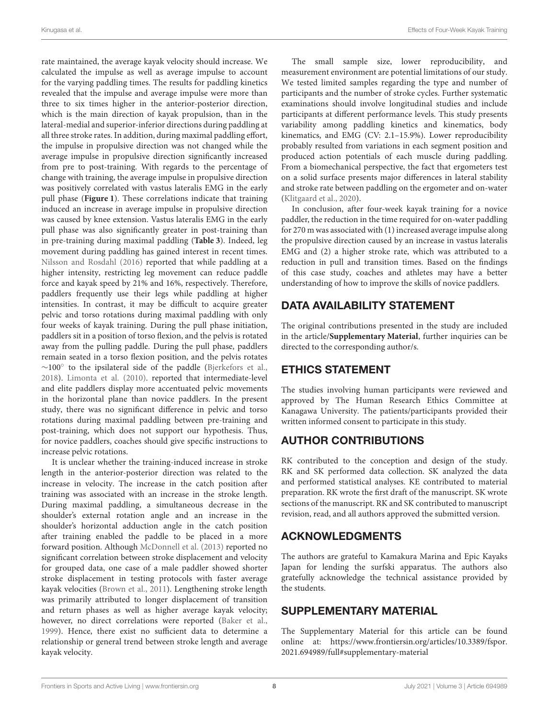rate maintained, the average kayak velocity should increase. We calculated the impulse as well as average impulse to account for the varying paddling times. The results for paddling kinetics revealed that the impulse and average impulse were more than three to six times higher in the anterior-posterior direction, which is the main direction of kayak propulsion, than in the lateral-medial and superior-inferior directions during paddling at all three stroke rates. In addition, during maximal paddling effort, the impulse in propulsive direction was not changed while the average impulse in propulsive direction significantly increased from pre to post-training. With regards to the percentage of change with training, the average impulse in propulsive direction was positively correlated with vastus lateralis EMG in the early pull phase (**[Figure 1](#page-6-0)**). These correlations indicate that training induced an increase in average impulse in propulsive direction was caused by knee extension. Vastus lateralis EMG in the early pull phase was also significantly greater in post-training than in pre-training during maximal paddling (**[Table 3](#page-5-0)**). Indeed, leg movement during paddling has gained interest in recent times. [Nilsson and Rosdahl \(2016\)](#page-8-17) reported that while paddling at a higher intensity, restricting leg movement can reduce paddle force and kayak speed by 21% and 16%, respectively. Therefore, paddlers frequently use their legs while paddling at higher intensities. In contrast, it may be difficult to acquire greater pelvic and torso rotations during maximal paddling with only four weeks of kayak training. During the pull phase initiation, paddlers sit in a position of torso flexion, and the pelvis is rotated away from the pulling paddle. During the pull phase, paddlers remain seated in a torso flexion position, and the pelvis rotates ∼100◦ to the ipsilateral side of the paddle [\(Bjerkefors et al.,](#page-8-18) [2018\)](#page-8-18). [Limonta et al. \(2010\)](#page-8-4). reported that intermediate-level and elite paddlers display more accentuated pelvic movements in the horizontal plane than novice paddlers. In the present study, there was no significant difference in pelvic and torso rotations during maximal paddling between pre-training and post-training, which does not support our hypothesis. Thus, for novice paddlers, coaches should give specific instructions to increase pelvic rotations.

It is unclear whether the training-induced increase in stroke length in the anterior-posterior direction was related to the increase in velocity. The increase in the catch position after training was associated with an increase in the stroke length. During maximal paddling, a simultaneous decrease in the shoulder's external rotation angle and an increase in the shoulder's horizontal adduction angle in the catch position after training enabled the paddle to be placed in a more forward position. Although [McDonnell et al. \(2013\)](#page-8-11) reported no significant correlation between stroke displacement and velocity for grouped data, one case of a male paddler showed shorter stroke displacement in testing protocols with faster average kayak velocities [\(Brown et al., 2011\)](#page-8-10). Lengthening stroke length was primarily attributed to longer displacement of transition and return phases as well as higher average kayak velocity; however, no direct correlations were reported [\(Baker et al.,](#page-8-19) [1999\)](#page-8-19). Hence, there exist no sufficient data to determine a relationship or general trend between stroke length and average kayak velocity.

The small sample size, lower reproducibility, and measurement environment are potential limitations of our study. We tested limited samples regarding the type and number of participants and the number of stroke cycles. Further systematic examinations should involve longitudinal studies and include participants at different performance levels. This study presents variability among paddling kinetics and kinematics, body kinematics, and EMG (CV: 2.1–15.9%). Lower reproducibility probably resulted from variations in each segment position and produced action potentials of each muscle during paddling. From a biomechanical perspective, the fact that ergometers test on a solid surface presents major differences in lateral stability and stroke rate between paddling on the ergometer and on-water [\(Klitgaard et al., 2020\)](#page-8-20).

In conclusion, after four-week kayak training for a novice paddler, the reduction in the time required for on-water paddling for 270 m was associated with (1) increased average impulse along the propulsive direction caused by an increase in vastus lateralis EMG and (2) a higher stroke rate, which was attributed to a reduction in pull and transition times. Based on the findings of this case study, coaches and athletes may have a better understanding of how to improve the skills of novice paddlers.

# DATA AVAILABILITY STATEMENT

The original contributions presented in the study are included in the article/**[Supplementary Material](#page-7-0)**, further inquiries can be directed to the corresponding author/s.

# ETHICS STATEMENT

The studies involving human participants were reviewed and approved by The Human Research Ethics Committee at Kanagawa University. The patients/participants provided their written informed consent to participate in this study.

# AUTHOR CONTRIBUTIONS

RK contributed to the conception and design of the study. RK and SK performed data collection. SK analyzed the data and performed statistical analyses. KE contributed to material preparation. RK wrote the first draft of the manuscript. SK wrote sections of the manuscript. RK and SK contributed to manuscript revision, read, and all authors approved the submitted version.

# ACKNOWLEDGMENTS

The authors are grateful to Kamakura Marina and Epic Kayaks Japan for lending the surfski apparatus. The authors also gratefully acknowledge the technical assistance provided by the students.

# SUPPLEMENTARY MATERIAL

<span id="page-7-0"></span>The Supplementary Material for this article can be found [online at: https://www.frontiersin.org/articles/10.3389/fspor.](https://www.frontiersin.org/articles/10.3389/fspor.2021.694989/full#supplementary-material) 2021.694989/full#supplementary-material